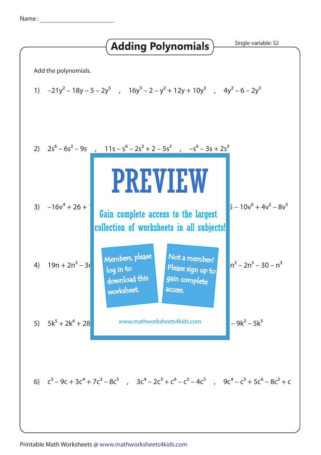